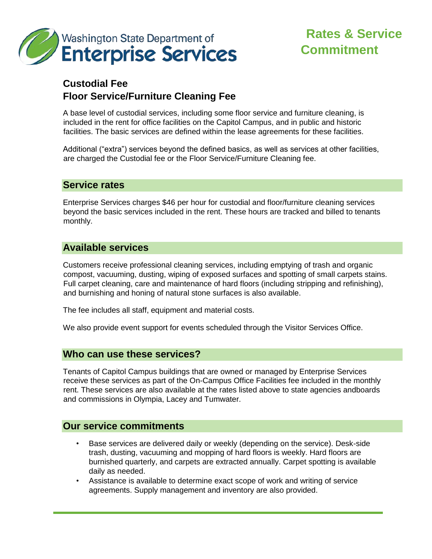

# **Rates & Service Commitment**

# **Custodial Fee Floor Service/Furniture Cleaning Fee**

A base level of custodial services, including some floor service and furniture cleaning, is included in the rent for office facilities on the Capitol Campus, and in public and historic facilities. The basic services are defined within the lease agreements for these facilities.

Additional ("extra") services beyond the defined basics, as well as services at other facilities, are charged the Custodial fee or the Floor Service/Furniture Cleaning fee.

#### **Service rates**

Enterprise Services charges \$46 per hour for custodial and floor/furniture cleaning services beyond the basic services included in the rent. These hours are tracked and billed to tenants monthly.

### **Available services**

Customers receive professional cleaning services, including emptying of trash and organic compost, vacuuming, dusting, wiping of exposed surfaces and spotting of small carpets stains. Full carpet cleaning, care and maintenance of hard floors (including stripping and refinishing), and burnishing and honing of natural stone surfaces is also available.

The fee includes all staff, equipment and material costs.

We also provide event support for events scheduled through the Visitor Services Office.

#### **Who can use these services?**

Tenants of Capitol Campus buildings that are owned or managed by Enterprise Services receive these services as part of the On-Campus Office Facilities fee included in the monthly rent. These services are also available at the rates listed above to state agencies andboards and commissions in Olympia, Lacey and Tumwater.

#### **Our service commitments**

- Base services are delivered daily or weekly (depending on the service). Desk-side trash, dusting, vacuuming and mopping of hard floors is weekly. Hard floors are burnished quarterly, and carpets are extracted annually. Carpet spotting is available daily as needed.
- Assistance is available to determine exact scope of work and writing of service agreements. Supply management and inventory are also provided.